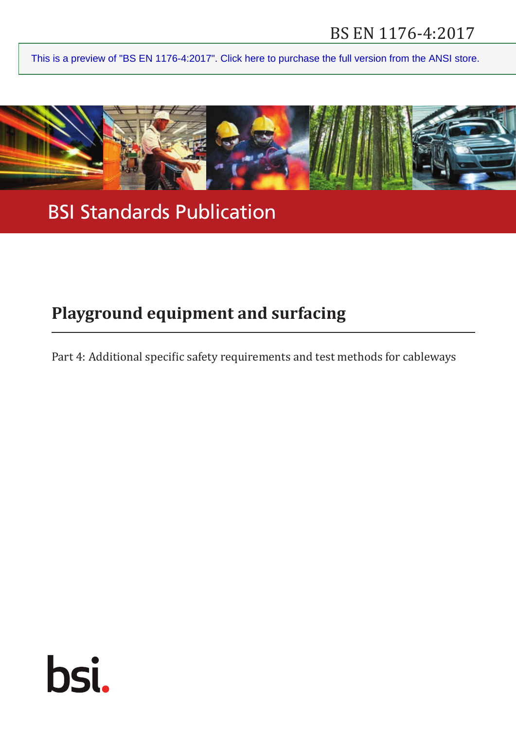# BS EN 1176‑4:2017

[This is a preview of "BS EN 1176-4:2017". Click here to purchase the full version from the ANSI store.](https://webstore.ansi.org/Standards/BSI/BSEN11762017-1666969?source=preview)



BSI Standards Publication

# **Playground equipment and surfacing**

Part 4: Additional specific safety requirements and test methods for cableways

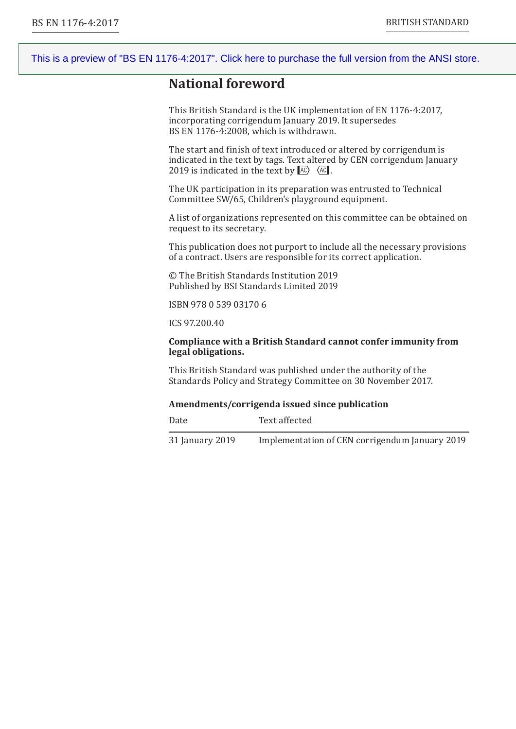# **National foreword**

This British Standard is the UK implementation of EN 1176‑4:2017, incorporating corrigendum January 2019. It supersedes BS EN 1176‑4:2008, which is withdrawn.

The start and finish of text introduced or altered by corrigendum is indicated in the text by tags. Text altered by CEN corrigendum January 2019 is indicated in the text by  $AC$ .

The UK participation in its preparation was entrusted to Technical Committee SW/65, Children's playground equipment.

A list of organizations represented on this committee can be obtained on request to its secretary.

This publication does not purport to include all the necessary provisions of a contract. Users are responsible for its correct application.

© The British Standards Institution 2019 Published by BSI Standards Limited 2019

ISBN 978 0 539 03170 6

ICS 97.200.40

#### **Compliance with a British Standard cannot confer immunity from legal obligations.**

This British Standard was published under the authority of the Standards Policy and Strategy Committee on 30 November 2017.

#### **Amendments/corrigenda issued since publication**

Date Text affected 31 January 2019 Implementation of CEN corrigendum January 2019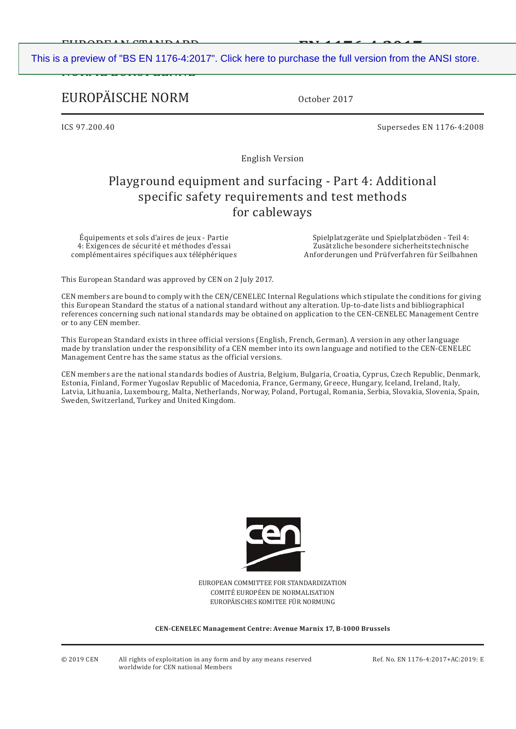EUROPEAN STANDARD **EN 1176‑4:2017**  [This is a preview of "BS EN 1176-4:2017". Click here to purchase the full version from the ANSI store.](https://webstore.ansi.org/Standards/BSI/BSEN11762017-1666969?source=preview)

# EUROPÄISCHE NORM

nvinte evilyt eenite

October 2017

ICS 97.200.40 Supersedes EN 1176‑4:2008

English Version

# Playground equipment and surfacing - Part 4: Additional specific safety requirements and test methods for cableways

Équipements et sols d'aires de jeux - Partie 4: Exigences de sécurité et méthodes d'essai complémentaires spécifiques aux téléphériques

Spielplatzgeräte und Spielplatzböden - Teil 4: Zusätzliche besondere sicherheitstechnische Anforderungen und Prüfverfahren für Seilbahnen

This European Standard was approved by CEN on 2 July 2017.

CEN members are bound to comply with the CEN/CENELEC Internal Regulations which stipulate the conditions for giving this European Standard the status of a national standard without any alteration. Up-to-date lists and bibliographical references concerning such national standards may be obtained on application to the CEN-CENELEC Management Centre or to any CEN member.

This European Standard exists in three official versions (English, French, German). A version in any other language made by translation under the responsibility of a CEN member into its own language and notified to the CEN-CENELEC Management Centre has the same status as the official versions.

CEN members are the national standards bodies of Austria, Belgium, Bulgaria, Croatia, Cyprus, Czech Republic, Denmark, Estonia, Finland, Former Yugoslav Republic of Macedonia, France, Germany, Greece, Hungary, Iceland, Ireland, Italy, Latvia, Lithuania, Luxembourg, Malta, Netherlands, Norway, Poland, Portugal, Romania, Serbia, Slovakia, Slovenia, Spain, Sweden, Switzerland, Turkey and United Kingdom.



EUROPEAN COMMITTEE FOR STANDARDIZATION COMITÉ EUROPÉEN DE NORMALISATION EUROPÄISCHES KOMITEE FÜR NORMUNG

**CEN-CENELEC Management Centre: Avenue Marnix 17, B-1000 Brussels**

© 2019 CEN All rights of exploitation in any form and by any means reserved Ref. No. EN 1176‑4:2017+AC:2019: E worldwide for CEN national Members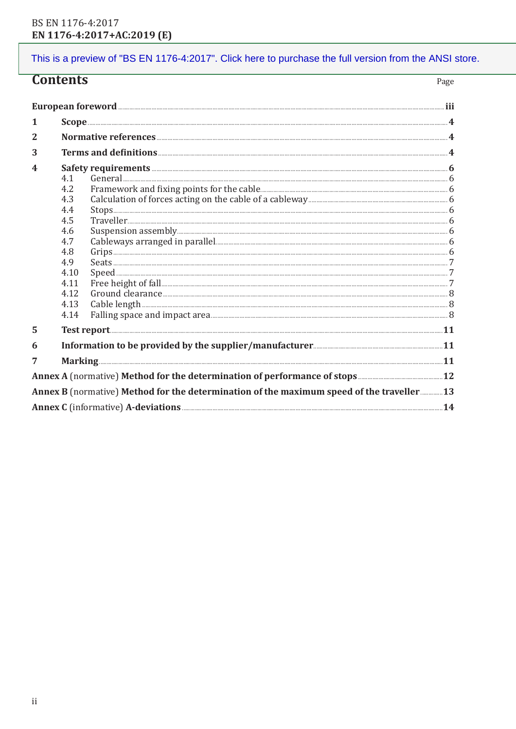| Contents                                                                                 |                                                                                                     |                                                                                                                                | Page |
|------------------------------------------------------------------------------------------|-----------------------------------------------------------------------------------------------------|--------------------------------------------------------------------------------------------------------------------------------|------|
|                                                                                          |                                                                                                     | European foreword <b>European foreword</b>                                                                                     |      |
| 1                                                                                        |                                                                                                     |                                                                                                                                |      |
| $\mathbf{2}$                                                                             |                                                                                                     |                                                                                                                                |      |
| 3                                                                                        |                                                                                                     |                                                                                                                                |      |
| $\overline{\mathbf{4}}$                                                                  | 4.1<br>4.2<br>4.3<br>4.4<br>4.5<br>4.6<br>4.7<br>4.8<br>4.9<br>4.10<br>4.11<br>4.12<br>4.13<br>4.14 | Cableways arranged in parallel<br>Grips<br>$\textbf{Speed} \textcolor{red}{\bm{1}} \textcolor{red}{\bm{7}}$<br>Cable length 38 |      |
| 5                                                                                        |                                                                                                     |                                                                                                                                |      |
| 6                                                                                        |                                                                                                     |                                                                                                                                |      |
| 7                                                                                        |                                                                                                     |                                                                                                                                |      |
|                                                                                          |                                                                                                     |                                                                                                                                |      |
| Annex B (normative) Method for the determination of the maximum speed of the traveller13 |                                                                                                     |                                                                                                                                |      |
|                                                                                          |                                                                                                     | Annex C (informative) A-deviations <b>Example 2018</b> 14                                                                      |      |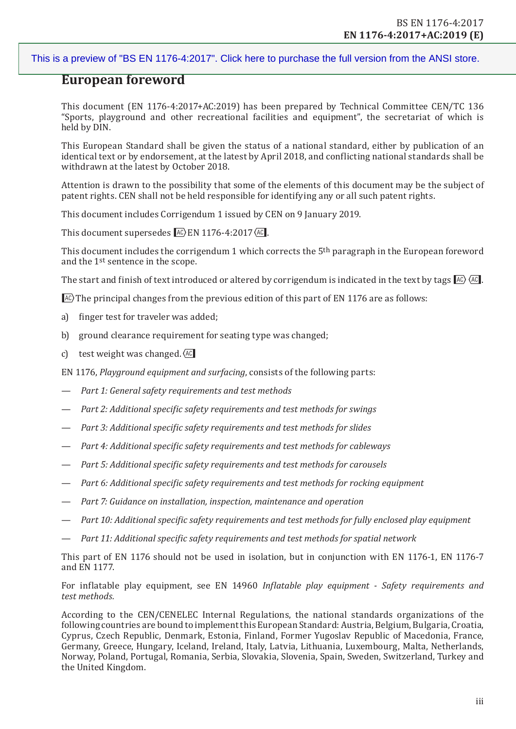# **European foreword**

This document (EN 1176‑4:2017+AC:2019) has been prepared by Technical Committee CEN/TC 136 "Sports, playground and other recreational facilities and equipment", the secretariat of which is held by DIN.

This European Standard shall be given the status of a national standard, either by publication of an identical text or by endorsement, at the latest by April 2018, and conflicting national standards shall be withdrawn at the latest by October 2018.

Attention is drawn to the possibility that some of the elements of this document may be the subject of patent rights. CEN shall not be held responsible for identifying any or all such patent rights.

This document includes Corrigendum 1 issued by CEN on 9 January 2019.

This document supersedes  $\sqrt{AC}$  EN 1176-4:2017 $\sqrt{AC}$ .

This document includes the corrigendum 1 which corrects the 5th paragraph in the European foreword and the 1st sentence in the scope.

The start and finish of text introduced or altered by corrigendum is indicated in the text by tags  $\overline{AC}$ .

 $F(x)$  The principal changes from the previous edition of this part of EN 1176 are as follows:

- a) finger test for traveler was added;
- b) ground clearance requirement for seating type was changed;
- c) test weight was changed.  $AC$

EN 1176, *Playground equipment and surfacing*, consists of the following parts:

- *Part 1: General safety requirements and test methods*
- *Part 2: Additional specific safety requirements and test methods for swings*
- *Part 3: Additional specific safety requirements and test methods for slides*
- *Part 4: Additional specific safety requirements and test methods for cableways*
- *Part 5: Additional specific safety requirements and test methods for carousels*
- *Part 6: Additional specific safety requirements and test methods for rocking equipment*
- *Part 7: Guidance on installation, inspection, maintenance and operation*
- *Part 10: Additional specific safety requirements and test methods for fully enclosed play equipment*
- *Part 11: Additional specific safety requirements and test methods for spatial network*

This part of EN 1176 should not be used in isolation, but in conjunction with EN 1176-1, EN 1176-7 and EN 1177.

For inflatable play equipment, see EN 14960 *Inflatable play equipment - Safety requirements and test methods.*

According to the CEN/CENELEC Internal Regulations, the national standards organizations of the following countries are bound to implement this European Standard: Austria, Belgium, Bulgaria, Croatia, Cyprus, Czech Republic, Denmark, Estonia, Finland, Former Yugoslav Republic of Macedonia, France, Germany, Greece, Hungary, Iceland, Ireland, Italy, Latvia, Lithuania, Luxembourg, Malta, Netherlands, Norway, Poland, Portugal, Romania, Serbia, Slovakia, Slovenia, Spain, Sweden, Switzerland, Turkey and the United Kingdom.